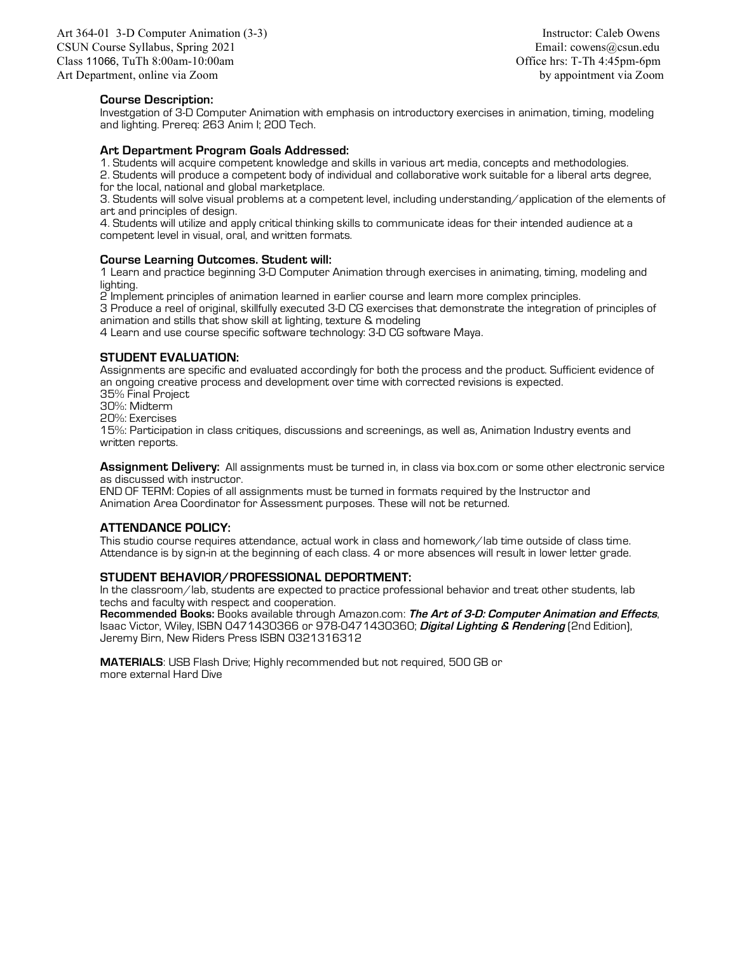Art 364-01 3-D Computer Animation (3-3) Instructor: Caleb Owens CSUN Course Syllabus, Spring 2021 **Email: cowens@csun.edu** Email: cowens@csun.edu Class 11066, TuTh 8:00am-10:00am Class 11066, TuTh 4:45pm-6pm Art Department, online via Zoom by appointment via Zoom by appointment via Zoom

## **Course Description:**

Investgation of 3-D Computer Animation with emphasis on introductory exercises in animation, timing, modeling and lighting. Prereq: 263 Anim I; 200 Tech.

#### **Art Department Program Goals Addressed:**

1. Students will acquire competent knowledge and skills in various art media, concepts and methodologies.

2. Students will produce a competent body of individual and collaborative work suitable for a liberal arts degree, for the local, national and global marketplace.

3. Students will solve visual problems at a competent level, including understanding/application of the elements of art and principles of design.

4. Students will utilize and apply critical thinking skills to communicate ideas for their intended audience at a competent level in visual, oral, and written formats.

### **Course Learning Outcomes. Student will:**

1 Learn and practice beginning 3-D Computer Animation through exercises in animating, timing, modeling and lighting.

2 Implement principles of animation learned in earlier course and learn more complex principles.

3 Produce a reel of original, skillfully executed 3-D CG exercises that demonstrate the integration of principles of animation and stills that show skill at lighting, texture & modeling

4 Learn and use course specific software technology: 3-D CG software Maya.

### **STUDENT EVALUATION:**

Assignments are specific and evaluated accordingly for both the process and the product. Sufficient evidence of an ongoing creative process and development over time with corrected revisions is expected.

35% Final Project

30%: Midterm 20%: Exercises

15%: Participation in class critiques, discussions and screenings, as well as, Animation Industry events and written reports.

**Assignment Delivery:** All assignments must be turned in, in class via box.com or some other electronic service as discussed with instructor.

END OF TERM: Copies of all assignments must be turned in formats required by the Instructor and Animation Area Coordinator for Assessment purposes. These will not be returned.

### **ATTENDANCE POLICY:**

This studio course requires attendance, actual work in class and homework/lab time outside of class time. Attendance is by sign-in at the beginning of each class. 4 or more absences will result in lower letter grade.

# **STUDENT BEHAVIOR/PROFESSIONAL DEPORTMENT:**

In the classroom/lab, students are expected to practice professional behavior and treat other students, lab techs and faculty with respect and cooperation.

**Recommended Books:** Books available through Amazon.com: **The Art of 3-D: Computer Animation and Effects**, Isaac Victor, Wiley, ISBN 0471430366 or 978-0471430360; **Digital Lighting & Rendering** (2nd Edition), Jeremy Birn, New Riders Press ISBN 0321316312

**MATERIALS**: USB Flash Drive; Highly recommended but not required, 500 GB or more external Hard Dive